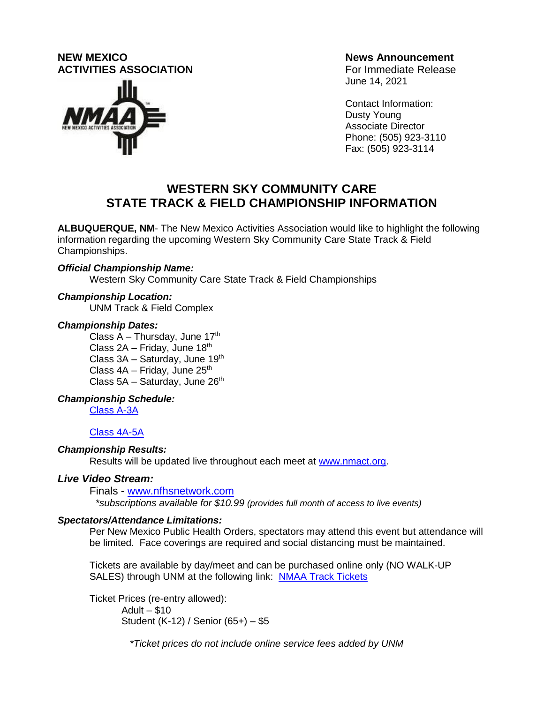# **NEW MEXICO News Announcement ACTIVITIES ASSOCIATION Example 20 ACTIVITIES** ASSOCIATION



June 14, 2021

Contact Information: Dusty Young Associate Director Phone: (505) 923-3110 Fax: (505) 923-3114

# **WESTERN SKY COMMUNITY CARE STATE TRACK & FIELD CHAMPIONSHIP INFORMATION**

**ALBUQUERQUE, NM**- The New Mexico Activities Association would like to highlight the following information regarding the upcoming Western Sky Community Care State Track & Field Championships.

## *Official Championship Name:*

Western Sky Community Care State Track & Field Championships

#### *Championship Location:*

UNM Track & Field Complex

#### *Championship Dates:*

Class  $A - Thursday$ , June 17<sup>th</sup> Class  $2A -$  Friday, June  $18<sup>th</sup>$ Class  $3A -$  Saturday, June  $19<sup>th</sup>$ Class  $4A -$  Friday, June  $25<sup>th</sup>$ Class  $5A -$  Saturday, June  $26<sup>th</sup>$ 

## *Championship Schedule:*

[Class A-3A](https://www.nmact.org/file/2021_STATE_TRACK_MEET_SCHEDULE.pdf)

## [Class 4A-5A](https://www.nmact.org/file/2021_STATE_TRACK_MEET_SCHEDULE.pdf)

## *Championship Results:*

Results will be updated live throughout each meet at [www.nmact.org.](http://www.nmact.org/)

## *Live Video Stream:*

Finals - [www.nfhsnetwork.com](http://www.nfhsnetwork.com/)

*\*subscriptions available for \$10.99 (provides full month of access to live events)*

## *Spectators/Attendance Limitations:*

Per New Mexico Public Health Orders, spectators may attend this event but attendance will be limited. Face coverings are required and social distancing must be maintained.

Tickets are available by day/meet and can be purchased online only (NO WALK-UP SALES) through UNM at the following link: [NMAA Track Tickets](https://golobos.evenue.net/cgi-bin/ncommerce3/SEGetEventList?groupCode=NMAATF&linkID=unm-athletics&shopperContext=&caller=&appCode)

Ticket Prices (re-entry allowed): Adult – \$10 Student (K-12) / Senior (65+) – \$5

 *\*Ticket prices do not include online service fees added by UNM*